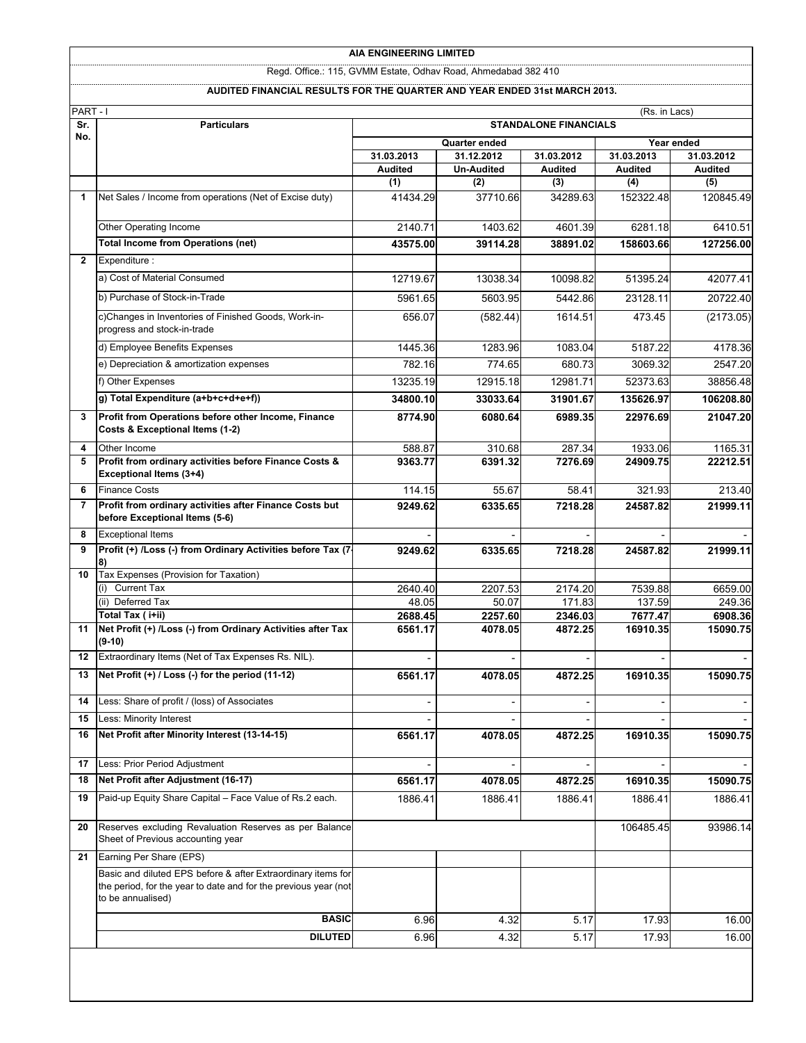### **AIA ENGINEERING LIMITED**

Regd. Office.: 115, GVMM Estate, Odhav Road, Ahmedabad 382 410

#### **AUDITED FINANCIAL RESULTS FOR THE QUARTER AND YEAR ENDED 31st MARCH 2013.**

| PART-I<br>Sr.  | (Rs. in Lacs)<br><b>STANDALONE FINANCIALS</b><br><b>Particulars</b>                                                                                  |                             |                   |                   |                   |                   |
|----------------|------------------------------------------------------------------------------------------------------------------------------------------------------|-----------------------------|-------------------|-------------------|-------------------|-------------------|
| No.            |                                                                                                                                                      | Year ended<br>Quarter ended |                   |                   |                   |                   |
|                |                                                                                                                                                      | 31.03.2013                  | 31.12.2012        | 31.03.2012        | 31.03.2013        | 31.03.2012        |
|                |                                                                                                                                                      | <b>Audited</b>              | <b>Un-Audited</b> | <b>Audited</b>    | <b>Audited</b>    | <b>Audited</b>    |
|                |                                                                                                                                                      | (1)                         | (2)               | (3)               | (4)               | (5)               |
| 1              | Net Sales / Income from operations (Net of Excise duty)                                                                                              | 41434.29                    | 37710.66          | 34289.63          | 152322.48         | 120845.49         |
|                | Other Operating Income                                                                                                                               | 2140.71                     | 1403.62           | 4601.39           | 6281.18           | 6410.51           |
|                | <b>Total Income from Operations (net)</b>                                                                                                            | 43575.00                    | 39114.28          | 38891.02          | 158603.66         | 127256.00         |
| $\overline{2}$ | Expenditure :                                                                                                                                        |                             |                   |                   |                   |                   |
|                | a) Cost of Material Consumed                                                                                                                         | 12719.67                    | 13038.34          | 10098.82          | 51395.24          | 42077.41          |
|                | b) Purchase of Stock-in-Trade                                                                                                                        | 5961.65                     | 5603.95           | 5442.86           | 23128.11          | 20722.40          |
|                | c)Changes in Inventories of Finished Goods, Work-in-<br>progress and stock-in-trade                                                                  | 656.07                      | (582.44)          | 1614.51           | 473.45            | (2173.05)         |
|                | d) Employee Benefits Expenses                                                                                                                        | 1445.36                     | 1283.96           | 1083.04           | 5187.22           | 4178.36           |
|                | e) Depreciation & amortization expenses                                                                                                              | 782.16                      | 774.65            | 680.73            | 3069.32           | 2547.20           |
|                | f) Other Expenses                                                                                                                                    | 13235.19                    | 12915.18          | 12981.71          | 52373.63          | 38856.48          |
|                | g) Total Expenditure (a+b+c+d+e+f))                                                                                                                  | 34800.10                    | 33033.64          | 31901.67          | 135626.97         | 106208.80         |
| 3              | Profit from Operations before other Income, Finance<br>Costs & Exceptional Items (1-2)                                                               | 8774.90                     | 6080.64           | 6989.35           | 22976.69          | 21047.20          |
| 4              | Other Income                                                                                                                                         | 588.87                      | 310.68            | 287.34            | 1933.06           | 1165.31           |
| 5              | Profit from ordinary activities before Finance Costs &<br><b>Exceptional Items (3+4)</b>                                                             | 9363.77                     | 6391.32           | 7276.69           | 24909.75          | 22212.51          |
| 6              | <b>Finance Costs</b>                                                                                                                                 | 114.15                      | 55.67             | 58.41             | 321.93            | 213.40            |
| $\overline{7}$ | Profit from ordinary activities after Finance Costs but<br>before Exceptional Items (5-6)                                                            | 9249.62                     | 6335.65           | 7218.28           | 24587.82          | 21999.11          |
| 8              | <b>Exceptional Items</b>                                                                                                                             |                             |                   |                   |                   |                   |
| 9              | Profit (+) /Loss (-) from Ordinary Activities before Tax (7-                                                                                         | 9249.62                     | 6335.65           | 7218.28           | 24587.82          | 21999.11          |
| 10             | Tax Expenses (Provision for Taxation)<br>(i) Current Tax                                                                                             |                             |                   |                   |                   |                   |
|                | (ii) Deferred Tax                                                                                                                                    | 2640.40<br>48.05            | 2207.53<br>50.07  | 2174.20<br>171.83 | 7539.88<br>137.59 | 6659.00<br>249.36 |
|                | Total Tax (i+ii)                                                                                                                                     | 2688.45                     | 2257.60           | 2346.03           | 7677.47           | 6908.36           |
| 11             | Net Profit (+) /Loss (-) from Ordinary Activities after Tax<br>$(9-10)$                                                                              | 6561.17                     | 4078.05           | 4872.25           | 16910.35          | 15090.75          |
| 12             | Extraordinary Items (Net of Tax Expenses Rs. NIL).                                                                                                   |                             |                   |                   |                   |                   |
| 13             | Net Profit (+) / Loss (-) for the period (11-12)                                                                                                     | 6561.17                     | 4078.05           | 4872.25           | 16910.35          | 15090.75          |
| 14             | Less: Share of profit / (loss) of Associates                                                                                                         |                             |                   |                   |                   |                   |
| 15             | Less: Minority Interest                                                                                                                              |                             |                   |                   |                   |                   |
| 16             | Net Profit after Minority Interest (13-14-15)                                                                                                        | 6561.17                     | 4078.05           | 4872.25           | 16910.35          | 15090.75          |
| 17             | Less: Prior Period Adjustment                                                                                                                        |                             |                   |                   |                   |                   |
| 18             | Net Profit after Adjustment (16-17)                                                                                                                  | 6561.17                     | 4078.05           | 4872.25           | 16910.35          | 15090.75          |
| 19             | Paid-up Equity Share Capital - Face Value of Rs.2 each.                                                                                              | 1886.41                     | 1886.41           | 1886.41           | 1886.41           | 1886.41           |
| 20             | Reserves excluding Revaluation Reserves as per Balance<br>Sheet of Previous accounting year                                                          |                             |                   |                   | 106485.45         | 93986.14          |
| 21             | Earning Per Share (EPS)                                                                                                                              |                             |                   |                   |                   |                   |
|                | Basic and diluted EPS before & after Extraordinary items for<br>the period, for the year to date and for the previous year (not<br>to be annualised) |                             |                   |                   |                   |                   |
|                | <b>BASIC</b>                                                                                                                                         | 6.96                        | 4.32              | 5.17              | 17.93             | 16.00             |
|                | <b>DILUTED</b>                                                                                                                                       | 6.96                        | 4.32              | 5.17              | 17.93             | 16.00             |
|                |                                                                                                                                                      |                             |                   |                   |                   |                   |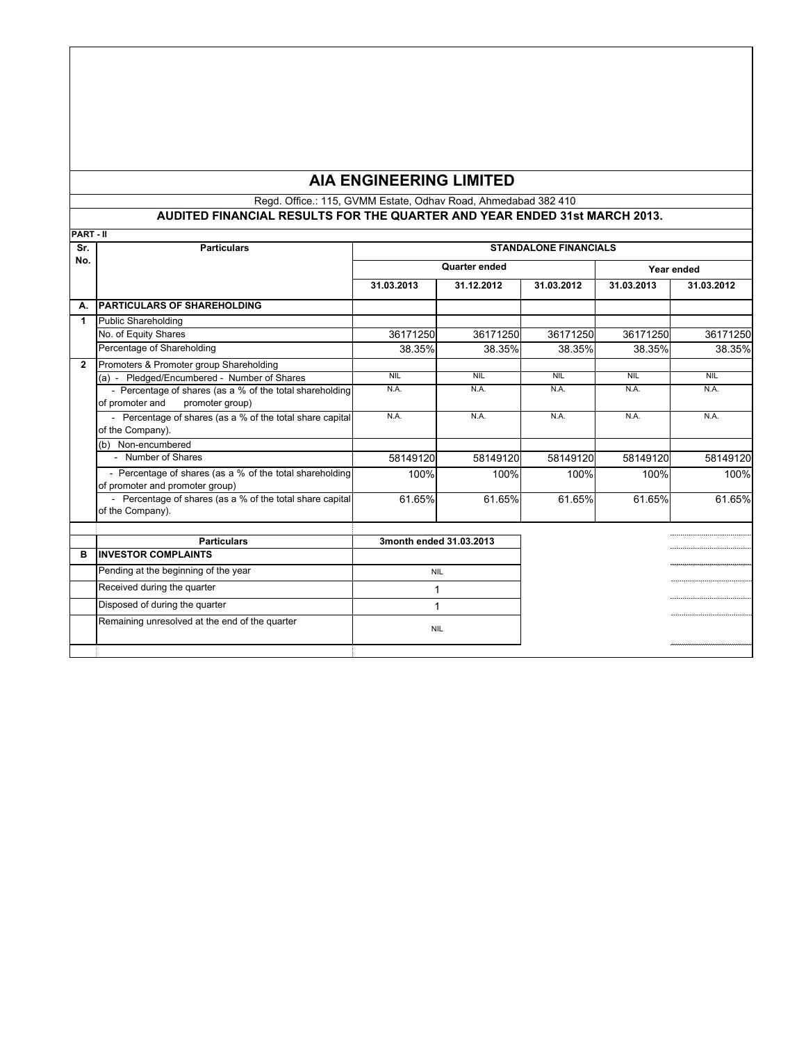# **AIA ENGINEERING LIMITED**

### Regd. Office.: 115, GVMM Estate, Odhav Road, Ahmedabad 382 410 **AUDITED FINANCIAL RESULTS FOR THE QUARTER AND YEAR ENDED 31st MARCH 2013.**

| IPART - II   |                                                                                                |                              |            |            |            |            |  |
|--------------|------------------------------------------------------------------------------------------------|------------------------------|------------|------------|------------|------------|--|
| Sr.          | <b>Particulars</b>                                                                             | <b>STANDALONE FINANCIALS</b> |            |            |            |            |  |
| No.          |                                                                                                | Quarter ended                |            |            | Year ended |            |  |
|              |                                                                                                | 31.03.2013                   | 31.12.2012 | 31.03.2012 | 31.03.2013 | 31.03.2012 |  |
| А.           | <b>PARTICULARS OF SHAREHOLDING</b>                                                             |                              |            |            |            |            |  |
| 1            | Public Shareholding                                                                            |                              |            |            |            |            |  |
|              | No. of Equity Shares                                                                           | 36171250                     | 36171250   | 36171250   | 36171250   | 36171250   |  |
|              | Percentage of Shareholding                                                                     | 38.35%                       | 38.35%     | 38.35%     | 38.35%     | 38.35%     |  |
| $\mathbf{2}$ | Promoters & Promoter group Shareholding                                                        |                              |            |            |            |            |  |
|              | (a) - Pledged/Encumbered - Number of Shares                                                    | <b>NIL</b>                   | <b>NIL</b> | <b>NIL</b> | <b>NIL</b> | <b>NIL</b> |  |
|              | - Percentage of shares (as a % of the total shareholding<br>of promoter and<br>promoter group) | N.A.                         | N.A.       | N.A.       | N.A.       | N.A.       |  |
|              | - Percentage of shares (as a % of the total share capital<br>of the Company).                  | N.A.                         | N.A.       | N.A.       | N.A.       | N.A.       |  |
|              | (b) Non-encumbered                                                                             |                              |            |            |            |            |  |
|              | - Number of Shares                                                                             | 58149120                     | 58149120   | 58149120   | 58149120   | 58149120   |  |
|              | - Percentage of shares (as a % of the total shareholding<br>of promoter and promoter group)    | 100%                         | 100%       | 100%       | 100%       | 100%       |  |
|              | - Percentage of shares (as a % of the total share capital<br>of the Company).                  | 61.65%                       | 61.65%     | 61.65%     | 61.65%     | 61.65%     |  |
|              | <b>Particulars</b>                                                                             | 3month ended 31.03.2013      |            |            |            |            |  |
| в            | <b>INVESTOR COMPLAINTS</b>                                                                     |                              |            |            |            |            |  |
|              | Pending at the beginning of the year                                                           | <b>NIL</b>                   |            |            |            |            |  |
|              | Received during the quarter                                                                    | 1                            |            |            |            |            |  |
|              | Disposed of during the quarter                                                                 | 1                            |            |            |            |            |  |
|              | Remaining unresolved at the end of the quarter                                                 | <b>NIL</b>                   |            |            |            |            |  |
|              |                                                                                                |                              |            |            |            |            |  |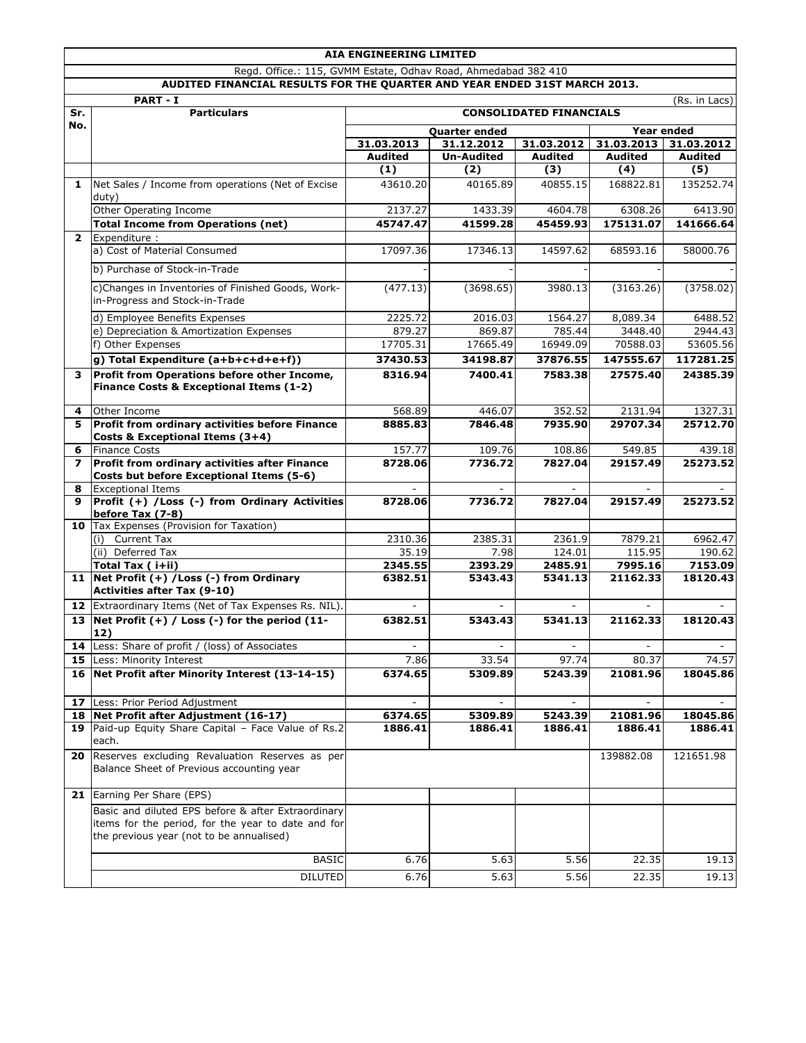|                |                                                                                                                                                      | AIA ENGINEERING LIMITED                          |                   |                                |                          |                          |
|----------------|------------------------------------------------------------------------------------------------------------------------------------------------------|--------------------------------------------------|-------------------|--------------------------------|--------------------------|--------------------------|
|                | Regd. Office.: 115, GVMM Estate, Odhav Road, Ahmedabad 382 410                                                                                       |                                                  |                   |                                |                          |                          |
|                | AUDITED FINANCIAL RESULTS FOR THE QUARTER AND YEAR ENDED 31ST MARCH 2013.                                                                            |                                                  |                   |                                |                          |                          |
| Sr.            | <b>PART - I</b><br><b>Particulars</b>                                                                                                                |                                                  |                   | <b>CONSOLIDATED FINANCIALS</b> |                          | (Rs. in Lacs)            |
| No.            |                                                                                                                                                      |                                                  |                   |                                |                          |                          |
|                |                                                                                                                                                      | <b>Quarter ended</b><br>31.03.2013<br>31.12.2012 |                   | 31.03.2012                     | 31.03.2013               | Year ended<br>31.03.2012 |
|                |                                                                                                                                                      | <b>Audited</b>                                   | <b>Un-Audited</b> | <b>Audited</b>                 | Audited                  | <b>Audited</b>           |
|                |                                                                                                                                                      | (1)                                              | (2)               | (3)                            | (4)                      | (5)                      |
| 1              | Net Sales / Income from operations (Net of Excise<br>duty)                                                                                           | 43610.20                                         | 40165.89          | 40855.15                       | 168822.81                | 135252.74                |
|                | Other Operating Income                                                                                                                               | 2137.27                                          | 1433.39           | 4604.78                        | 6308.26                  | 6413.90                  |
|                | <b>Total Income from Operations (net)</b>                                                                                                            | 45747.47                                         | 41599.28          | 45459.93                       | 175131.07                | 141666.64                |
| $\overline{2}$ | Expenditure:                                                                                                                                         |                                                  |                   |                                |                          |                          |
|                | a) Cost of Material Consumed                                                                                                                         | 17097.36                                         | 17346.13          | 14597.62                       | 68593.16                 | 58000.76                 |
|                | b) Purchase of Stock-in-Trade                                                                                                                        |                                                  |                   |                                |                          |                          |
|                | c)Changes in Inventories of Finished Goods, Work-<br>in-Progress and Stock-in-Trade                                                                  | (477.13)                                         | (3698.65)         | 3980.13                        | (3163.26)                | (3758.02)                |
|                | d) Employee Benefits Expenses                                                                                                                        | 2225.72                                          | 2016.03           | 1564.27                        | 8,089.34                 | 6488.52                  |
|                | e) Depreciation & Amortization Expenses                                                                                                              | 879.27                                           | 869.87            | 785.44                         | 3448.40                  | 2944.43                  |
|                | f) Other Expenses                                                                                                                                    | 17705.31                                         | 17665.49          | 16949.09                       | 70588.03                 | 53605.56                 |
|                | g) Total Expenditure (a+b+c+d+e+f))                                                                                                                  | 37430.53                                         | 34198.87          | 37876.55                       | 147555.67                | 117281.25                |
| 3              | Profit from Operations before other Income,<br>Finance Costs & Exceptional Items (1-2)                                                               | 8316.94                                          | 7400.41           | 7583.38                        | 27575.40                 | 24385.39                 |
| 4              | Other Income                                                                                                                                         | 568.89                                           | 446.07            | 352.52                         | 2131.94                  | 1327.31                  |
| 5              | Profit from ordinary activities before Finance<br>Costs & Exceptional Items (3+4)                                                                    | 8885.83                                          | 7846.48           | 7935.90                        | 29707.34                 | 25712.70                 |
| 6              | <b>Finance Costs</b>                                                                                                                                 | 157.77                                           | 109.76            | 108.86                         | 549.85                   | 439.18                   |
| 7              | Profit from ordinary activities after Finance<br>Costs but before Exceptional Items (5-6)                                                            | 8728.06                                          | 7736.72           | 7827.04                        | 29157.49                 | 25273.52                 |
| 8              | <b>Exceptional Items</b>                                                                                                                             |                                                  |                   |                                |                          |                          |
| 9              | Profit (+) / Loss (-) from Ordinary Activities<br>before Tax (7-8)                                                                                   | 8728.06                                          | 7736.72           | 7827.04                        | 29157.49                 | 25273.52                 |
|                | 10   Tax Expenses (Provision for Taxation)<br>(i) Current Tax                                                                                        | 2310.36                                          | 2385.31           | 2361.9                         | 7879.21                  | 6962.47                  |
|                | (ii) Deferred Tax                                                                                                                                    | 35.19                                            | 7.98              | 124.01                         | 115.95                   | 190.62                   |
|                | Total Tax (i+ii)                                                                                                                                     | 2345.55                                          | 2393.29           | 2485.91                        | 7995.16                  | 7153.09                  |
|                | 11 Net Profit (+) / Loss (-) from Ordinary                                                                                                           | 6382.51                                          | 5343.43           | 5341.13                        | 21162.33                 | 18120.43                 |
|                | <b>Activities after Tax (9-10)</b>                                                                                                                   |                                                  |                   |                                |                          |                          |
|                | 12 Extraordinary Items (Net of Tax Expenses Rs. NIL).                                                                                                |                                                  |                   |                                |                          |                          |
|                | 13   Net Profit $(+)$ / Loss (-) for the period (11-<br>12)                                                                                          | 6382.51                                          | 5343.43           | 5341.13                        | 21162.33                 | 18120.43                 |
|                | 14 Less: Share of profit / (loss) of Associates                                                                                                      | ۰                                                |                   |                                | $\overline{\phantom{a}}$ |                          |
|                | 15 Less: Minority Interest                                                                                                                           | 7.86                                             | 33.54             | 97.74                          | 80.37                    | 74.57                    |
|                | 16 Net Profit after Minority Interest (13-14-15)                                                                                                     | 6374.65                                          | 5309.89           | 5243.39                        | 21081.96                 | 18045.86                 |
|                | 17 Less: Prior Period Adjustment                                                                                                                     |                                                  |                   |                                |                          |                          |
|                | 18 Net Profit after Adjustment (16-17)<br>19 Paid-up Equity Share Capital - Face Value of Rs.2                                                       | 6374.65                                          | 5309.89           | 5243.39                        | 21081.96                 | 18045.86                 |
|                | each.                                                                                                                                                | 1886.41                                          | 1886.41           | 1886.41                        | 1886.41                  | 1886.41                  |
| 20             | Reserves excluding Revaluation Reserves as per<br>Balance Sheet of Previous accounting year                                                          |                                                  |                   |                                | 139882.08                | 121651.98                |
|                | 21 Earning Per Share (EPS)                                                                                                                           |                                                  |                   |                                |                          |                          |
|                | Basic and diluted EPS before & after Extraordinary<br>items for the period, for the year to date and for<br>the previous year (not to be annualised) |                                                  |                   |                                |                          |                          |
|                | <b>BASIC</b>                                                                                                                                         | 6.76                                             | 5.63              | 5.56                           | 22.35                    | 19.13                    |
|                | <b>DILUTED</b>                                                                                                                                       | 6.76                                             | 5.63              | 5.56                           | 22.35                    | 19.13                    |
|                |                                                                                                                                                      |                                                  |                   |                                |                          |                          |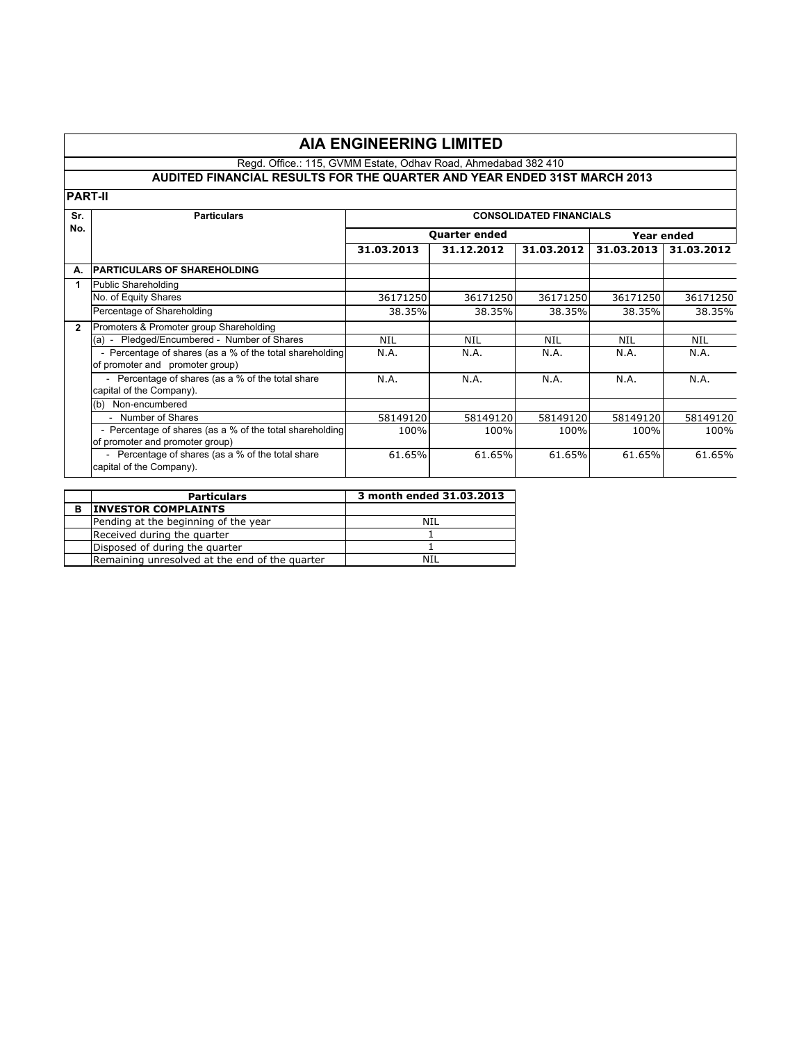# **AIA ENGINEERING LIMITED**

### Regd. Office.: 115, GVMM Estate, Odhav Road, Ahmedabad 382 410

### **AUDITED FINANCIAL RESULTS FOR THE QUARTER AND YEAR ENDED 31ST MARCH 2013**

**PART-II**

| Sr.          | <b>CONSOLIDATED FINANCIALS</b><br><b>Particulars</b>                                        |            |                      |            |            |            |  |
|--------------|---------------------------------------------------------------------------------------------|------------|----------------------|------------|------------|------------|--|
|              |                                                                                             |            |                      |            |            |            |  |
| No.          |                                                                                             |            | <b>Quarter ended</b> |            |            | Year ended |  |
|              |                                                                                             | 31.03.2013 | 31.12.2012           | 31.03.2012 | 31.03.2013 | 31.03.2012 |  |
| А.           | <b>IPARTICULARS OF SHAREHOLDING</b>                                                         |            |                      |            |            |            |  |
| 1            | <b>Public Shareholding</b>                                                                  |            |                      |            |            |            |  |
|              | No. of Equity Shares                                                                        | 36171250   | 36171250             | 36171250   | 36171250   | 36171250   |  |
|              | Percentage of Shareholding                                                                  | 38.35%     | 38.35%               | 38.35%     | 38.35%     | 38.35%     |  |
| $\mathbf{2}$ | Promoters & Promoter group Shareholding                                                     |            |                      |            |            |            |  |
|              | (a) - Pledged/Encumbered - Number of Shares                                                 | NIL        | NIL                  | NIL        | NIL        | NIL        |  |
|              | - Percentage of shares (as a % of the total shareholding<br>of promoter and promoter group) | N.A.       | N.A.                 | N.A.       | N.A.       | N.A.       |  |
|              | - Percentage of shares (as a % of the total share<br>capital of the Company).               | N.A.       | N.A.                 | N.A.       | N.A.       | N.A.       |  |
|              | Non-encumbered<br>(b)                                                                       |            |                      |            |            |            |  |
|              | - Number of Shares                                                                          | 58149120   | 58149120             | 58149120   | 58149120   | 58149120   |  |
|              | - Percentage of shares (as a % of the total shareholding<br>of promoter and promoter group) | 100%       | 100%                 | 100%       | 100%       | 100%       |  |
|              | - Percentage of shares (as a % of the total share<br>capital of the Company).               | 61.65%     | 61.65%               | 61.65%     | 61.65%     | 61.65%     |  |

|   | <b>Particulars</b>                             | 3 month ended 31.03.2013 |
|---|------------------------------------------------|--------------------------|
| в | <b>INVESTOR COMPLAINTS</b>                     |                          |
|   | Pending at the beginning of the year           | NII                      |
|   | Received during the quarter                    |                          |
|   | Disposed of during the quarter                 |                          |
|   | Remaining unresolved at the end of the quarter | NTI                      |